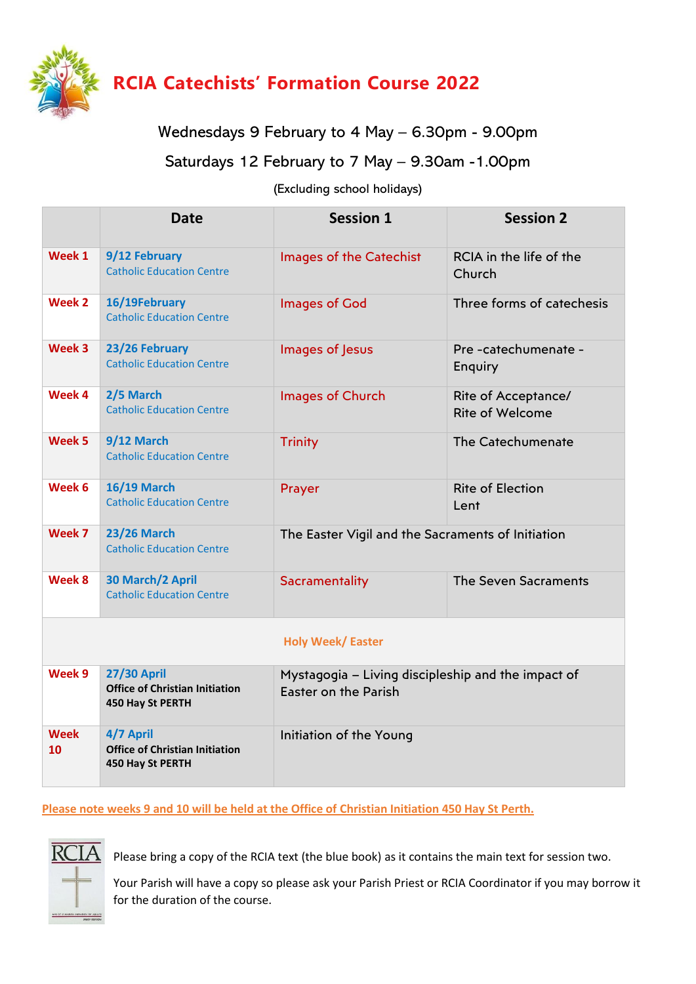

## Wednesdays 9 February to 4 May – 6.30pm - 9.00pm

## Saturdays 12 February to 7 May – 9.30am -1.00pm

## (Excluding school holidays)

|                         | <b>Date</b>                                                                     | <b>Session 1</b>                                                           | <b>Session 2</b>                              |
|-------------------------|---------------------------------------------------------------------------------|----------------------------------------------------------------------------|-----------------------------------------------|
| Week 1                  | 9/12 February<br><b>Catholic Education Centre</b>                               | Images of the Catechist                                                    | RCIA in the life of the<br>Church             |
| Week 2                  | 16/19February<br><b>Catholic Education Centre</b>                               | <b>Images of God</b>                                                       | Three forms of catechesis                     |
| Week 3                  | 23/26 February<br><b>Catholic Education Centre</b>                              | Images of Jesus                                                            | Pre-catechumenate-<br>Enquiry                 |
| Week 4                  | 2/5 March<br><b>Catholic Education Centre</b>                                   | Images of Church                                                           | Rite of Acceptance/<br><b>Rite of Welcome</b> |
| Week 5                  | 9/12 March<br><b>Catholic Education Centre</b>                                  | <b>Trinity</b>                                                             | The Catechumenate                             |
| Week 6                  | <b>16/19 March</b><br><b>Catholic Education Centre</b>                          | Prayer                                                                     | <b>Rite of Election</b><br>Lent               |
| Week 7                  | <b>23/26 March</b><br><b>Catholic Education Centre</b>                          | The Easter Vigil and the Sacraments of Initiation                          |                                               |
| Week 8                  | 30 March/2 April<br><b>Catholic Education Centre</b>                            | Sacramentality                                                             | <b>The Seven Sacraments</b>                   |
| <b>Holy Week/Easter</b> |                                                                                 |                                                                            |                                               |
| Week 9                  | <b>27/30 April</b><br><b>Office of Christian Initiation</b><br>450 Hay St PERTH | Mystagogia - Living discipleship and the impact of<br>Easter on the Parish |                                               |
| <b>Week</b><br>10       | 4/7 April<br><b>Office of Christian Initiation</b><br>450 Hay St PERTH          | Initiation of the Young                                                    |                                               |

**Please note weeks 9 and 10 will be held at the Office of Christian Initiation 450 Hay St Perth.**



Please bring a copy of the RCIA text (the blue book) as it contains the main text for session two.

Your Parish will have a copy so please ask your Parish Priest or RCIA Coordinator if you may borrow it for the duration of the course.